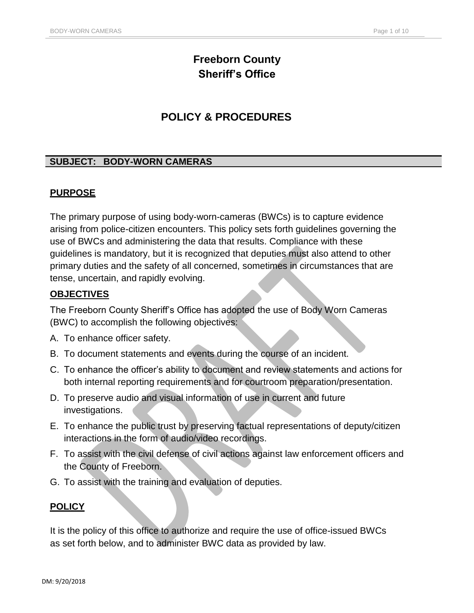# **Freeborn County Sheriff's Office**

## **POLICY & PROCEDURES**

## **SUBJECT: BODY-WORN CAMERAS**

## **PURPOSE**

The primary purpose of using body-worn-cameras (BWCs) is to capture evidence arising from police-citizen encounters. This policy sets forth guidelines governing the use of BWCs and administering the data that results. Compliance with these guidelines is mandatory, but it is recognized that deputies must also attend to other primary duties and the safety of all concerned, sometimes in circumstances that are tense, uncertain, and rapidly evolving.

## **OBJECTIVES**

The Freeborn County Sheriff's Office has adopted the use of Body Worn Cameras (BWC) to accomplish the following objectives:

- A. To enhance officer safety.
- B. To document statements and events during the course of an incident.
- C. To enhance the officer's ability to document and review statements and actions for both internal reporting requirements and for courtroom preparation/presentation.
- D. To preserve audio and visual information of use in current and future investigations.
- E. To enhance the public trust by preserving factual representations of deputy/citizen interactions in the form of audio/video recordings.
- F. To assist with the civil defense of civil actions against law enforcement officers and the County of Freeborn.
- G. To assist with the training and evaluation of deputies.

## **POLICY**

It is the policy of this office to authorize and require the use of office-issued BWCs as set forth below, and to administer BWC data as provided by law.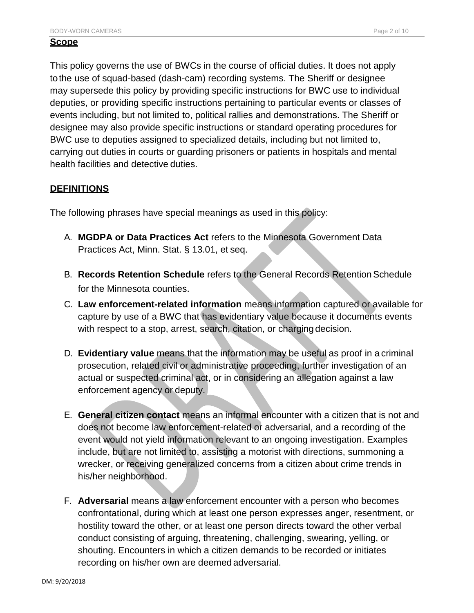#### **Scope**

This policy governs the use of BWCs in the course of official duties. It does not apply tothe use of squad-based (dash-cam) recording systems. The Sheriff or designee may supersede this policy by providing specific instructions for BWC use to individual deputies, or providing specific instructions pertaining to particular events or classes of events including, but not limited to, political rallies and demonstrations. The Sheriff or designee may also provide specific instructions or standard operating procedures for BWC use to deputies assigned to specialized details, including but not limited to, carrying out duties in courts or guarding prisoners or patients in hospitals and mental health facilities and detective duties.

#### **DEFINITIONS**

The following phrases have special meanings as used in this policy:

- A. **MGDPA or Data Practices Act** refers to the Minnesota Government Data Practices Act, Minn. Stat. § 13.01, et seq.
- B. **Records Retention Schedule** refers to the General Records Retention Schedule for the Minnesota counties.
- C. **Law enforcement-related information** means information captured or available for capture by use of a BWC that has evidentiary value because it documents events with respect to a stop, arrest, search, citation, or charging decision.
- D. **Evidentiary value** means that the information may be useful as proof in a criminal prosecution, related civil or administrative proceeding, further investigation of an actual or suspected criminal act, or in considering an allegation against a law enforcement agency or deputy.
- E. **General citizen contact** means an informal encounter with a citizen that is not and does not become law enforcement-related or adversarial, and a recording of the event would not yield information relevant to an ongoing investigation. Examples include, but are not limited to, assisting a motorist with directions, summoning a wrecker, or receiving generalized concerns from a citizen about crime trends in his/her neighborhood.
- F. **Adversarial** means a law enforcement encounter with a person who becomes confrontational, during which at least one person expresses anger, resentment, or hostility toward the other, or at least one person directs toward the other verbal conduct consisting of arguing, threatening, challenging, swearing, yelling, or shouting. Encounters in which a citizen demands to be recorded or initiates recording on his/her own are deemed adversarial.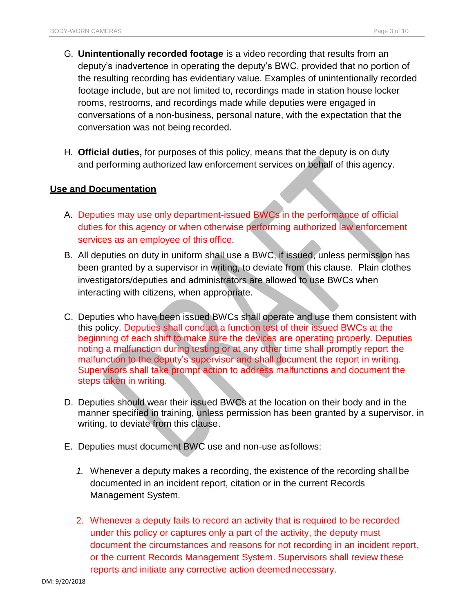- G. **Unintentionally recorded footage** is a video recording that results from an deputy's inadvertence in operating the deputy's BWC, provided that no portion of the resulting recording has evidentiary value. Examples of unintentionally recorded footage include, but are not limited to, recordings made in station house locker rooms, restrooms, and recordings made while deputies were engaged in conversations of a non-business, personal nature, with the expectation that the conversation was not being recorded.
- H. **Official duties,** for purposes of this policy, means that the deputy is on duty and performing authorized law enforcement services on behalf of this agency.

#### **Use and Documentation**

- A. Deputies may use only department-issued BWCs in the performance of official duties for this agency or when otherwise performing authorized law enforcement services as an employee of this office.
- B. All deputies on duty in uniform shall use a BWC, if issued, unless permission has been granted by a supervisor in writing, to deviate from this clause. Plain clothes investigators/deputies and administrators are allowed to use BWCs when interacting with citizens, when appropriate.
- C. Deputies who have been issued BWCs shall operate and use them consistent with this policy. Deputies shall conduct a function test of their issued BWCs at the beginning of each shift to make sure the devices are operating properly. Deputies noting a malfunction during testing or at any other time shall promptly report the malfunction to the deputy's supervisor and shall document the report in writing. Supervisors shall take prompt action to address malfunctions and document the steps taken in writing.
- D. Deputies should wear their issued BWCs at the location on their body and in the manner specified in training, unless permission has been granted by a supervisor, in writing, to deviate from this clause.
- E. Deputies must document BWC use and non-use as follows:
	- *1.* Whenever a deputy makes a recording, the existence of the recording shall be documented in an incident report, citation or in the current Records Management System*.*
	- 2. Whenever a deputy fails to record an activity that is required to be recorded under this policy or captures only a part of the activity, the deputy must document the circumstances and reasons for not recording in an incident report, or the current Records Management System. Supervisors shall review these reports and initiate any corrective action deemed necessary.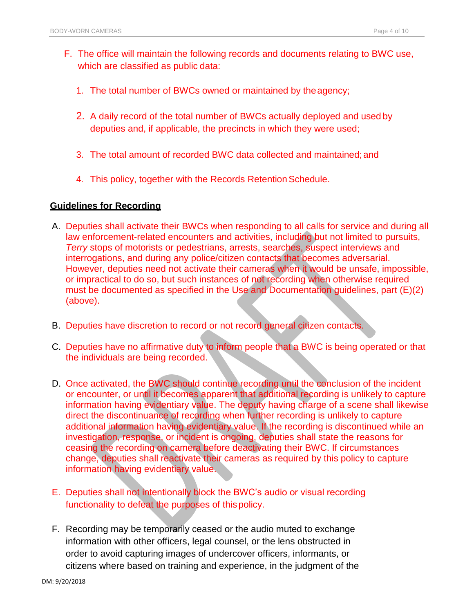- F. The office will maintain the following records and documents relating to BWC use, which are classified as public data:
	- 1. The total number of BWCs owned or maintained by theagency;
	- 2. A daily record of the total number of BWCs actually deployed and used by deputies and, if applicable, the precincts in which they were used;
	- 3. The total amount of recorded BWC data collected and maintained;and
	- 4. This policy, together with the Records Retention Schedule.

#### **Guidelines for Recording**

- A. Deputies shall activate their BWCs when responding to all calls for service and during all law enforcement-related encounters and activities, including but not limited to pursuits, *Terry* stops of motorists or pedestrians, arrests, searches, suspect interviews and interrogations, and during any police/citizen contacts that becomes adversarial. However, deputies need not activate their cameras when it would be unsafe, impossible, or impractical to do so, but such instances of not recording when otherwise required must be documented as specified in the Use and Documentation guidelines, part (E)(2) (above).
- B. Deputies have discretion to record or not record general citizen contacts.
- C. Deputies have no affirmative duty to inform people that a BWC is being operated or that the individuals are being recorded.
- D. Once activated, the BWC should continue recording until the conclusion of the incident or encounter, or until it becomes apparent that additional recording is unlikely to capture information having evidentiary value. The deputy having charge of a scene shall likewise direct the discontinuance of recording when further recording is unlikely to capture additional information having evidentiary value. If the recording is discontinued while an investigation, response, or incident is ongoing, deputies shall state the reasons for ceasing the recording on camera before deactivating their BWC. If circumstances change, deputies shall reactivate their cameras as required by this policy to capture information having evidentiary value.
- E. Deputies shall not intentionally block the BWC's audio or visual recording functionality to defeat the purposes of thispolicy.
- F. Recording may be temporarily ceased or the audio muted to exchange information with other officers, legal counsel, or the lens obstructed in order to avoid capturing images of undercover officers, informants, or citizens where based on training and experience, in the judgment of the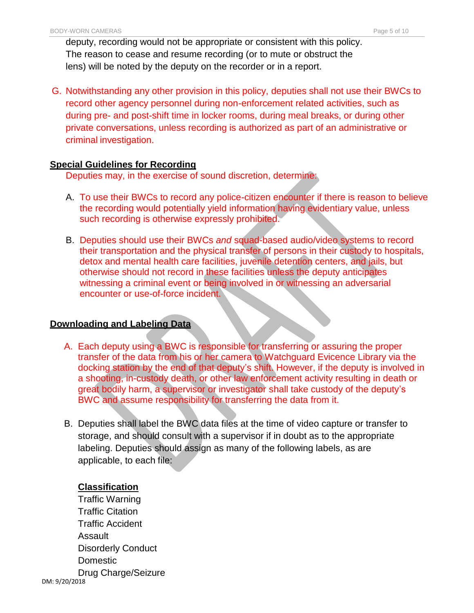deputy, recording would not be appropriate or consistent with this policy. The reason to cease and resume recording (or to mute or obstruct the lens) will be noted by the deputy on the recorder or in a report.

G. Notwithstanding any other provision in this policy, deputies shall not use their BWCs to record other agency personnel during non-enforcement related activities, such as during pre- and post-shift time in locker rooms, during meal breaks, or during other private conversations, unless recording is authorized as part of an administrative or criminal investigation.

#### **Special Guidelines for Recording**

Deputies may, in the exercise of sound discretion, determine:

- A. To use their BWCs to record any police-citizen encounter if there is reason to believe the recording would potentially yield information having evidentiary value, unless such recording is otherwise expressly prohibited.
- B. Deputies should use their BWCs *and* squad-based audio/video systems to record their transportation and the physical transfer of persons in their custody to hospitals, detox and mental health care facilities, juvenile detention centers, and jails, but otherwise should not record in these facilities unless the deputy anticipates witnessing a criminal event or being involved in or witnessing an adversarial encounter or use-of-force incident.

## **Downloading and Labeling Data**

- A. Each deputy using a BWC is responsible for transferring or assuring the proper transfer of the data from his or her camera to Watchguard Evicence Library via the docking station by the end of that deputy's shift. However, if the deputy is involved in a shooting, in-custody death, or other law enforcement activity resulting in death or great bodily harm, a supervisor or investigator shall take custody of the deputy's BWC and assume responsibility for transferring the data from it.
- B. Deputies shall label the BWC data files at the time of video capture or transfer to storage, and should consult with a supervisor if in doubt as to the appropriate labeling. Deputies should assign as many of the following labels, as are applicable, to each file:

## **Classification**

DM: 9/20/2018 Traffic Warning Traffic Citation Traffic Accident Assault Disorderly Conduct Domestic Drug Charge/Seizure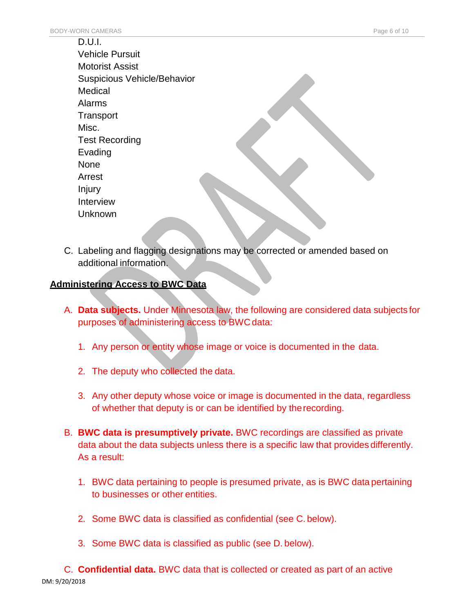| D.U.I.                      |
|-----------------------------|
| <b>Vehicle Pursuit</b>      |
| <b>Motorist Assist</b>      |
| Suspicious Vehicle/Behavior |
| Medical                     |
| Alarms                      |
| Transport                   |
| Misc.                       |
| <b>Test Recording</b>       |
| Evading                     |
| None                        |
| Arrest                      |
| Injury                      |
| Interview                   |
| Unknown                     |
|                             |

C. Labeling and flagging designations may be corrected or amended based on additional information.

## **Administering Access to BWC Data**

- A. **Data subjects.** Under Minnesota law, the following are considered data subjects for purposes of administering access to BWC data:
	- 1. Any person or entity whose image or voice is documented in the data.
	- 2. The deputy who collected the data.
	- 3. Any other deputy whose voice or image is documented in the data, regardless of whether that deputy is or can be identified by therecording.
- B. **BWC data is presumptively private.** BWC recordings are classified as private data about the data subjects unless there is a specific law that provides differently. As a result:
	- 1. BWC data pertaining to people is presumed private, as is BWC data pertaining to businesses or other entities.
	- 2. Some BWC data is classified as confidential (see C. below).
	- 3. Some BWC data is classified as public (see D. below).

DM: 9/20/2018 C. **Confidential data.** BWC data that is collected or created as part of an active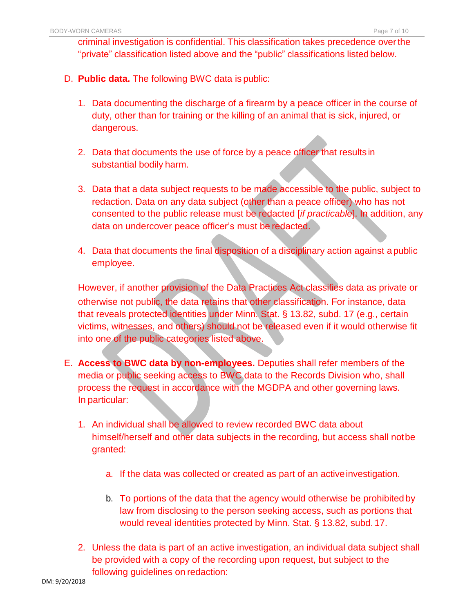criminal investigation is confidential. This classification takes precedence overthe "private" classification listed above and the "public" classifications listed below.

- D. **Public data.** The following BWC data is public:
	- 1. Data documenting the discharge of a firearm by a peace officer in the course of duty, other than for training or the killing of an animal that is sick, injured, or dangerous.
	- 2. Data that documents the use of force by a peace officer that results in substantial bodily harm.
	- 3. Data that a data subject requests to be made accessible to the public, subject to redaction. Data on any data subject (other than a peace officer) who has not consented to the public release must be redacted [*if practicable*]. In addition, any data on undercover peace officer's must be redacted.
	- 4. Data that documents the final disposition of a disciplinary action against a public employee.

However, if another provision of the Data Practices Act classifies data as private or otherwise not public, the data retains that other classification. For instance, data that reveals protected identities under Minn. Stat. § 13.82, subd. 17 (e.g., certain victims, witnesses, and others) should not be released even if it would otherwise fit into one of the public categories listed above.

- E. **Access to BWC data by non-employees.** Deputies shall refer members of the media or public seeking access to BWC data to the Records Division who, shall process the request in accordance with the MGDPA and other governing laws. In particular:
	- 1. An individual shall be allowed to review recorded BWC data about himself/herself and other data subjects in the recording, but access shall notbe granted:
		- a. If the data was collected or created as part of an activeinvestigation.
		- b. To portions of the data that the agency would otherwise be prohibited by law from disclosing to the person seeking access, such as portions that would reveal identities protected by Minn. Stat. § 13.82, subd. 17.
	- 2. Unless the data is part of an active investigation, an individual data subject shall be provided with a copy of the recording upon request, but subject to the following guidelines on redaction: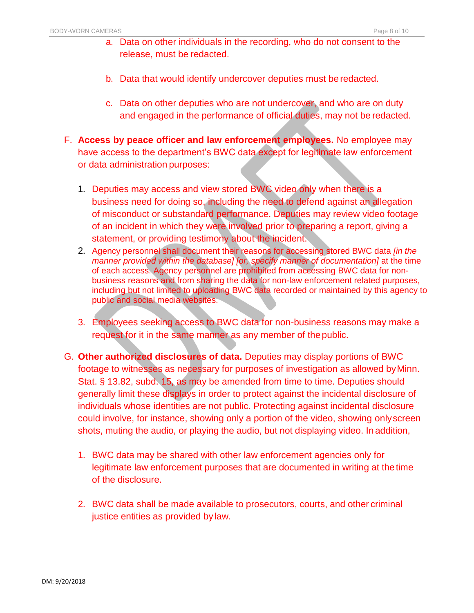- a. Data on other individuals in the recording, who do not consent to the release, must be redacted.
- b. Data that would identify undercover deputies must beredacted.
- c. Data on other deputies who are not undercover, and who are on duty and engaged in the performance of official duties, may not be redacted.
- F. **Access by peace officer and law enforcement employees.** No employee may have access to the department's BWC data except for legitimate law enforcement or data administration purposes:
	- 1. Deputies may access and view stored BWC video only when there is a business need for doing so, including the need to defend against an allegation of misconduct or substandard performance. Deputies may review video footage of an incident in which they were involved prior to preparing a report, giving a statement, or providing testimony about the incident.
	- 2. Agency personnel shall document their reasons for accessing stored BWC data *[in the manner provided within the database] [or, specify manner of documentation]* at the time of each access. Agency personnel are prohibited from accessing BWC data for nonbusiness reasons and from sharing the data for non-law enforcement related purposes, including but not limited to uploading BWC data recorded or maintained by this agency to public and social media websites.
	- 3. Employees seeking access to BWC data for non-business reasons may make a request for it in the same manner as any member of the public.
- G. **Other authorized disclosures of data.** Deputies may display portions of BWC footage to witnesses as necessary for purposes of investigation as allowed byMinn. Stat. § 13.82, subd. 15, as may be amended from time to time. Deputies should generally limit these displays in order to protect against the incidental disclosure of individuals whose identities are not public. Protecting against incidental disclosure could involve, for instance, showing only a portion of the video, showing onlyscreen shots, muting the audio, or playing the audio, but not displaying video. In addition,
	- 1. BWC data may be shared with other law enforcement agencies only for legitimate law enforcement purposes that are documented in writing at thetime of the disclosure.
	- 2. BWC data shall be made available to prosecutors, courts, and other criminal justice entities as provided by law.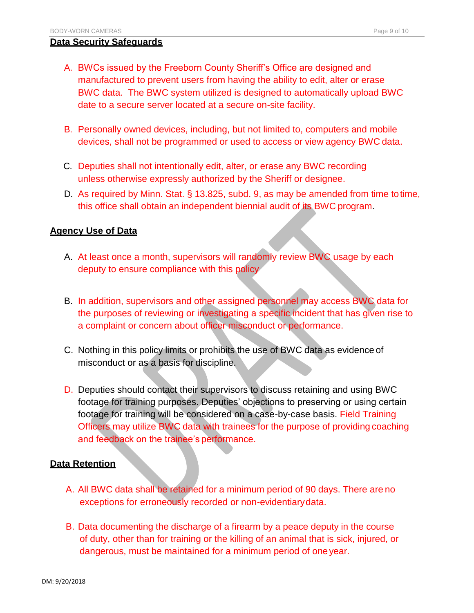#### **Data Security Safeguards**

- A. BWCs issued by the Freeborn County Sheriff's Office are designed and manufactured to prevent users from having the ability to edit, alter or erase BWC data. The BWC system utilized is designed to automatically upload BWC date to a secure server located at a secure on-site facility.
- B. Personally owned devices, including, but not limited to, computers and mobile devices, shall not be programmed or used to access or view agency BWC data.
- C. Deputies shall not intentionally edit, alter, or erase any BWC recording unless otherwise expressly authorized by the Sheriff or designee.
- D. As required by Minn. Stat. § 13.825, subd. 9, as may be amended from time totime, this office shall obtain an independent biennial audit of its BWC program.

#### **Agency Use of Data**

- A. At least once a month, supervisors will randomly review BWC usage by each deputy to ensure compliance with this policy
- B. In addition, supervisors and other assigned personnel may access BWC data for the purposes of reviewing or investigating a specific incident that has given rise to a complaint or concern about officer misconduct or performance.
- C. Nothing in this policy limits or prohibits the use of BWC data as evidence of misconduct or as a basis for discipline.
- D. Deputies should contact their supervisors to discuss retaining and using BWC footage for training purposes. Deputies' objections to preserving or using certain footage for training will be considered on a case-by-case basis. Field Training Officers may utilize BWC data with trainees for the purpose of providing coaching and feedback on the trainee's performance.

#### **Data Retention**

- A. All BWC data shall be retained for a minimum period of 90 days. There are no exceptions for erroneously recorded or non-evidentiarydata.
- B. Data documenting the discharge of a firearm by a peace deputy in the course of duty, other than for training or the killing of an animal that is sick, injured, or dangerous, must be maintained for a minimum period of oneyear.